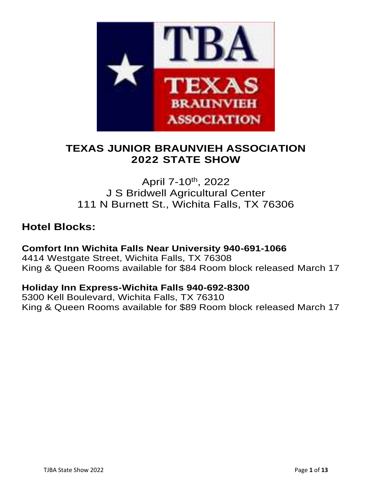

## **TEXAS JUNIOR BRAUNVIEH ASSOCIATION 2022 STATE SHOW**

## April 7-10th, 2022 J S Bridwell Agricultural Center 111 N Burnett St., Wichita Falls, TX 76306

## **Hotel Blocks:**

### **Comfort Inn Wichita Falls Near University 940-691-1066** 4414 Westgate Street, Wichita Falls, TX 76308 King & Queen Rooms available for \$84 Room block released March 17

### **Holiday Inn Express-Wichita Falls 940-692-8300**

5300 Kell Boulevard, Wichita Falls, TX 76310 King & Queen Rooms available for \$89 Room block released March 17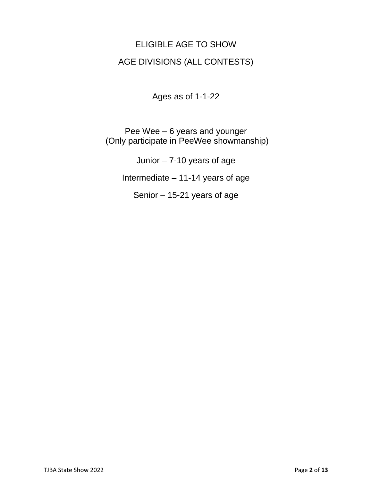# ELIGIBLE AGE TO SHOW AGE DIVISIONS (ALL CONTESTS)

Ages as of 1-1-22

Pee Wee – 6 years and younger (Only participate in PeeWee showmanship)

Junior – 7-10 years of age

Intermediate – 11-14 years of age

Senior – 15-21 years of age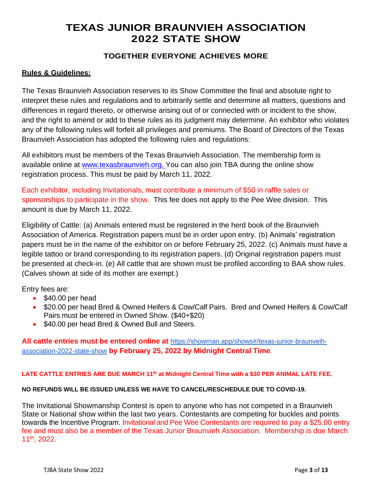## **TEXAS JUNIOR BRAUNVIEH ASSOCIATION 2022 STATE SHOW**

#### **TOGETHER EVERYONE ACHIEVES MORE**

#### **Rules & Guidelines:**

The Texas Braunvieh Association reserves to its Show Committee the final and absolute right to interpret these rules and regulations and to arbitrarily settle and determine all matters, questions and differences in regard thereto, or otherwise arising out of or connected with or incident to the show, and the right to amend or add to these rules as its judgment may determine. An exhibitor who violates any of the following rules will forfeit all privileges and premiums. The Board of Directors of the Texas Braunvieh Association has adopted the following rules and regulations:

All exhibitors must be members of the Texas Braunvieh Association. The membership form is available online at www.texasbraunvieh.org. You can also join TBA during the online show registration process. This must be paid by March 11, 2022.

Each exhibitor, including Invitationals, must contribute a minimum of \$50 in raffle sales or sponsorships to participate in the show. This fee does not apply to the Pee Wee division. This amount is due by March 11, 2022.

Eligibility of Cattle: (a) Animals entered must be registered in the herd book of the Braunvieh Association of America. Registration papers must be in order upon entry. (b) Animals' registration papers must be in the name of the exhibitor on or before February 25, 2022. (c) Animals must have a legible tattoo or brand corresponding to its registration papers. (d) Original registration papers must be presented at check-in. (e) All cattle that are shown must be profiled according to BAA show rules. (Calves shown at side of its mother are exempt.)

Entry fees are:

- \$40.00 per head
- \$20.00 per head Bred & Owned Heifers & Cow/Calf Pairs. Bred and Owned Heifers & Cow/Calf Pairs must be entered in Owned Show. (\$40+\$20)
- \$40.00 per head Bred & Owned Bull and Steers.

**All cattle entries must be entered online at** [https://showman.app/shows#/texas-junior-braunveih](https://showman.app/shows#/texas-junior-braunveih-association-2022-state-show)[association-2022-state-show](https://showman.app/shows#/texas-junior-braunveih-association-2022-state-show) **by February 25, 2022 by Midnight Central Time**.

#### **LATE CATTLE ENTRIES ARE DUE MARCH 11 th at Midnight Central Time with a \$30 PER ANIMAL LATE FEE.**

#### **NO REFUNDS WILL BE ISSUED UNLESS WE HAVE TO CANCEL/RESCHEDULE DUE TO COVID-19.**

The Invitational Showmanship Contest is open to anyone who has not competed in a Braunvieh State or National show within the last two years. Contestants are competing for buckles and points towards the Incentive Program. Invitational and Pee Wee Contestants are required to pay a \$25.00 entry fee and must also be a member of the Texas Junior Braunvieh Association. Membership is due March 11th , 2022.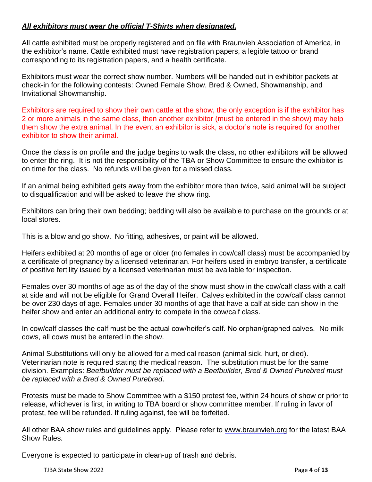#### *All exhibitors must wear the official T-Shirts when designated.*

All cattle exhibited must be properly registered and on file with Braunvieh Association of America, in the exhibitor's name. Cattle exhibited must have registration papers, a legible tattoo or brand corresponding to its registration papers, and a health certificate.

Exhibitors must wear the correct show number. Numbers will be handed out in exhibitor packets at check-in for the following contests: Owned Female Show, Bred & Owned, Showmanship, and Invitational Showmanship.

Exhibitors are required to show their own cattle at the show, the only exception is if the exhibitor has 2 or more animals in the same class, then another exhibitor (must be entered in the show) may help them show the extra animal. In the event an exhibitor is sick, a doctor's note is required for another exhibitor to show their animal.

Once the class is on profile and the judge begins to walk the class, no other exhibitors will be allowed to enter the ring. It is not the responsibility of the TBA or Show Committee to ensure the exhibitor is on time for the class. No refunds will be given for a missed class.

If an animal being exhibited gets away from the exhibitor more than twice, said animal will be subject to disqualification and will be asked to leave the show ring.

Exhibitors can bring their own bedding; bedding will also be available to purchase on the grounds or at local stores.

This is a blow and go show. No fitting, adhesives, or paint will be allowed.

Heifers exhibited at 20 months of age or older (no females in cow/calf class) must be accompanied by a certificate of pregnancy by a licensed veterinarian. For heifers used in embryo transfer, a certificate of positive fertility issued by a licensed veterinarian must be available for inspection.

Females over 30 months of age as of the day of the show must show in the cow/calf class with a calf at side and will not be eligible for Grand Overall Heifer. Calves exhibited in the cow/calf class cannot be over 230 days of age. Females under 30 months of age that have a calf at side can show in the heifer show and enter an additional entry to compete in the cow/calf class.

In cow/calf classes the calf must be the actual cow/heifer's calf. No orphan/graphed calves. No milk cows, all cows must be entered in the show.

Animal Substitutions will only be allowed for a medical reason (animal sick, hurt, or died). Veterinarian note is required stating the medical reason. The substitution must be for the same division. Examples: *Beefbuilder must be replaced with a Beefbuilder, Bred & Owned Purebred must be replaced with a Bred & Owned Purebred*.

Protests must be made to Show Committee with a \$150 protest fee, within 24 hours of show or prior to release, whichever is first, in writing to TBA board or show committee member. If ruling in favor of protest, fee will be refunded. If ruling against, fee will be forfeited.

All other BAA show rules and guidelines apply. Please refer to [www.braunvieh.org](http://www.braunvieh.org/) for the latest BAA Show Rules.

Everyone is expected to participate in clean-up of trash and debris.

TJBA State Show 2022 Page **4** of **13**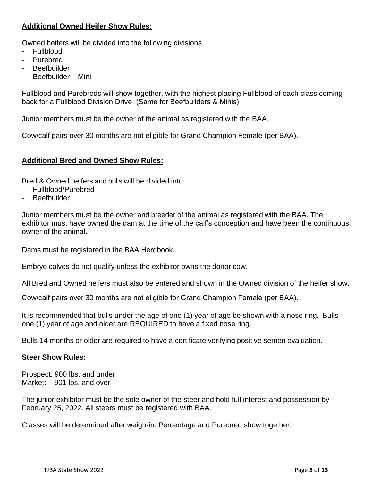#### **Additional Owned Heifer Show Rules:**

Owned heifers will be divided into the following divisions

- Fullblood
- Purebred
- **Beefbuilder**
- Beefbuilder Mini

Fullblood and Purebreds will show together, with the highest placing Fullblood of each class coming back for a Fullblood Division Drive. (Same for Beefbuilders & Minis)

Junior members must be the owner of the animal as registered with the BAA.

Cow/calf pairs over 30 months are not eligible for Grand Champion Female (per BAA).

#### **Additional Bred and Owned Show Rules:**

Bred & Owned heifers and bulls will be divided into:

- Fullblood/Purebred
- **Beefbuilder**

Junior members must be the owner and breeder of the animal as registered with the BAA. The exhibitor must have owned the dam at the time of the calf's conception and have been the continuous owner of the animal.

Dams must be registered in the BAA Herdbook.

Embryo calves do not qualify unless the exhibitor owns the donor cow.

All Bred and Owned heifers must also be entered and shown in the Owned division of the heifer show.

Cow/calf pairs over 30 months are not eligible for Grand Champion Female (per BAA).

It is recommended that bulls under the age of one (1) year of age be shown with a nose ring. Bulls one (1) year of age and older are REQUIRED to have a fixed nose ring.

Bulls 14 months or older are required to have a certificate verifying positive semen evaluation.

#### **Steer Show Rules:**

Prospect: 900 lbs. and under Market: 901 lbs. and over

The junior exhibitor must be the sole owner of the steer and hold full interest and possession by February 25, 2022. All steers must be registered with BAA.

Classes will be determined after weigh-in. Percentage and Purebred show together.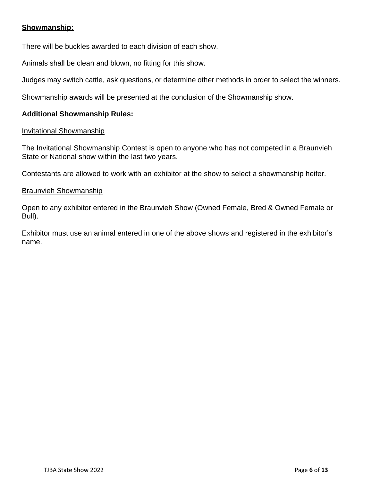#### **Showmanship:**

There will be buckles awarded to each division of each show.

Animals shall be clean and blown, no fitting for this show.

Judges may switch cattle, ask questions, or determine other methods in order to select the winners.

Showmanship awards will be presented at the conclusion of the Showmanship show.

#### **Additional Showmanship Rules:**

#### Invitational Showmanship

The Invitational Showmanship Contest is open to anyone who has not competed in a Braunvieh State or National show within the last two years.

Contestants are allowed to work with an exhibitor at the show to select a showmanship heifer.

#### Braunvieh Showmanship

Open to any exhibitor entered in the Braunvieh Show (Owned Female, Bred & Owned Female or Bull).

Exhibitor must use an animal entered in one of the above shows and registered in the exhibitor's name.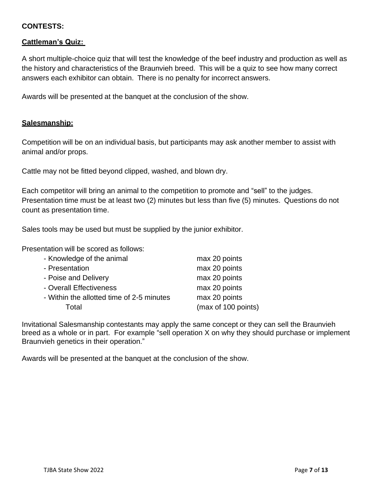#### **CONTESTS:**

#### **Cattleman's Quiz:**

A short multiple-choice quiz that will test the knowledge of the beef industry and production as well as the history and characteristics of the Braunvieh breed. This will be a quiz to see how many correct answers each exhibitor can obtain. There is no penalty for incorrect answers.

Awards will be presented at the banquet at the conclusion of the show.

#### **Salesmanship:**

Competition will be on an individual basis, but participants may ask another member to assist with animal and/or props.

Cattle may not be fitted beyond clipped, washed, and blown dry.

Each competitor will bring an animal to the competition to promote and "sell" to the judges. Presentation time must be at least two (2) minutes but less than five (5) minutes. Questions do not count as presentation time.

Sales tools may be used but must be supplied by the junior exhibitor.

Presentation will be scored as follows:

| - Knowledge of the animal                 | max 20 points       |
|-------------------------------------------|---------------------|
| - Presentation                            | max 20 points       |
| - Poise and Delivery                      | max 20 points       |
| - Overall Effectiveness                   | max 20 points       |
| - Within the allotted time of 2-5 minutes | max 20 points       |
| Total                                     | (max of 100 points) |

Invitational Salesmanship contestants may apply the same concept or they can sell the Braunvieh breed as a whole or in part. For example "sell operation X on why they should purchase or implement Braunvieh genetics in their operation."

Awards will be presented at the banquet at the conclusion of the show.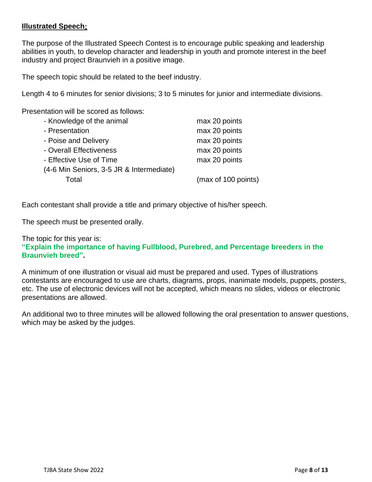#### **Illustrated Speech:**

The purpose of the Illustrated Speech Contest is to encourage public speaking and leadership abilities in youth, to develop character and leadership in youth and promote interest in the beef industry and project Braunvieh in a positive image.

The speech topic should be related to the beef industry.

Length 4 to 6 minutes for senior divisions; 3 to 5 minutes for junior and intermediate divisions.

Presentation will be scored as follows:

| max 20 points       |
|---------------------|
| max 20 points       |
| max 20 points       |
| max 20 points       |
| max 20 points       |
|                     |
| (max of 100 points) |
|                     |

Each contestant shall provide a title and primary objective of his/her speech.

The speech must be presented orally.

#### The topic for this year is: **"Explain the importance of having Fullblood, Purebred, and Percentage breeders in the Braunvieh breed".**

A minimum of one illustration or visual aid must be prepared and used. Types of illustrations contestants are encouraged to use are charts, diagrams, props, inanimate models, puppets, posters, etc. The use of electronic devices will not be accepted, which means no slides, videos or electronic presentations are allowed.

An additional two to three minutes will be allowed following the oral presentation to answer questions, which may be asked by the judges.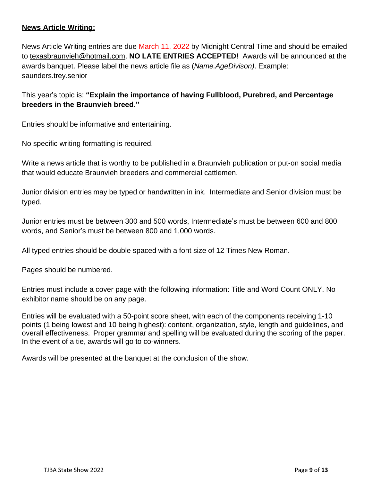#### **News Article Writing:**

News Article Writing entries are due March 11, 2022 by Midnight Central Time and should be emailed to [texasbraunvieh@hotmail.com.](mailto:texasbraunvieh@hotmail.com) **NO LATE ENTRIES ACCEPTED!** Awards will be announced at the awards banquet. Please label the news article file as (*Name.AgeDivison)*. Example: saunders.trey.senior

#### This year's topic is: **"Explain the importance of having Fullblood, Purebred, and Percentage breeders in the Braunvieh breed."**

Entries should be informative and entertaining.

No specific writing formatting is required.

Write a news article that is worthy to be published in a Braunvieh publication or put-on social media that would educate Braunvieh breeders and commercial cattlemen.

Junior division entries may be typed or handwritten in ink. Intermediate and Senior division must be typed.

Junior entries must be between 300 and 500 words, Intermediate's must be between 600 and 800 words, and Senior's must be between 800 and 1,000 words.

All typed entries should be double spaced with a font size of 12 Times New Roman.

Pages should be numbered.

Entries must include a cover page with the following information: Title and Word Count ONLY. No exhibitor name should be on any page.

Entries will be evaluated with a 50-point score sheet, with each of the components receiving 1-10 points (1 being lowest and 10 being highest): content, organization, style, length and guidelines, and overall effectiveness. Proper grammar and spelling will be evaluated during the scoring of the paper. In the event of a tie, awards will go to co-winners.

Awards will be presented at the banquet at the conclusion of the show.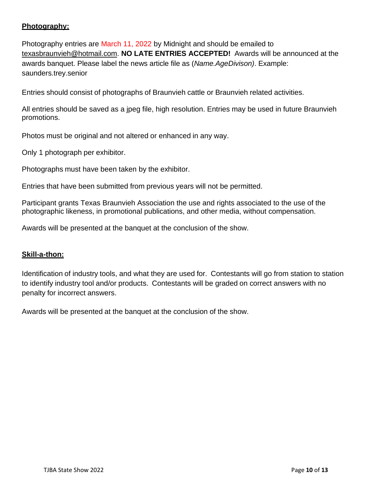#### **Photography:**

Photography entries are March 11, 2022 by Midnight and should be emailed to [texasbraunvieh@hotmail.com.](mailto:texasbraunvieh@hotmail.com) **NO LATE ENTRIES ACCEPTED!** Awards will be announced at the awards banquet. Please label the news article file as (*Name.AgeDivison)*. Example: saunders.trey.senior

Entries should consist of photographs of Braunvieh cattle or Braunvieh related activities.

All entries should be saved as a jpeg file, high resolution. Entries may be used in future Braunvieh promotions.

Photos must be original and not altered or enhanced in any way.

Only 1 photograph per exhibitor.

Photographs must have been taken by the exhibitor.

Entries that have been submitted from previous years will not be permitted.

Participant grants Texas Braunvieh Association the use and rights associated to the use of the photographic likeness, in promotional publications, and other media, without compensation.

Awards will be presented at the banquet at the conclusion of the show.

#### **Skill-a-thon:**

Identification of industry tools, and what they are used for. Contestants will go from station to station to identify industry tool and/or products. Contestants will be graded on correct answers with no penalty for incorrect answers.

Awards will be presented at the banquet at the conclusion of the show.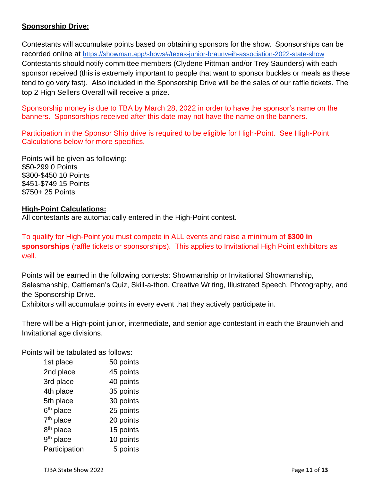#### **Sponsorship Drive:**

Contestants will accumulate points based on obtaining sponsors for the show. Sponsorships can be recorded online at <https://showman.app/shows#/texas-junior-braunveih-association-2022-state-show> Contestants should notify committee members (Clydene Pittman and/or Trey Saunders) with each sponsor received (this is extremely important to people that want to sponsor buckles or meals as these tend to go very fast). Also included in the Sponsorship Drive will be the sales of our raffle tickets. The top 2 High Sellers Overall will receive a prize.

Sponsorship money is due to TBA by March 28, 2022 in order to have the sponsor's name on the banners. Sponsorships received after this date may not have the name on the banners.

Participation in the Sponsor Ship drive is required to be eligible for High-Point. See High-Point Calculations below for more specifics.

Points will be given as following: \$50-299 0 Points \$300-\$450 10 Points \$451-\$749 15 Points \$750+ 25 Points

#### **High-Point Calculations:**

All contestants are automatically entered in the High-Point contest.

To qualify for High-Point you must compete in ALL events and raise a minimum of **\$300 in sponsorships** (raffle tickets or sponsorships). This applies to Invitational High Point exhibitors as well.

Points will be earned in the following contests: Showmanship or Invitational Showmanship, Salesmanship, Cattleman's Quiz, Skill-a-thon, Creative Writing, Illustrated Speech, Photography, and the Sponsorship Drive.

Exhibitors will accumulate points in every event that they actively participate in.

There will be a High-point junior, intermediate, and senior age contestant in each the Braunvieh and Invitational age divisions.

Points will be tabulated as follows:

|                       | 50 points |
|-----------------------|-----------|
| 1st place             |           |
| 2nd place             | 45 points |
| 3rd place             | 40 points |
| 4th place             | 35 points |
| 5th place             | 30 points |
| 6 <sup>th</sup> place | 25 points |
| 7 <sup>th</sup> place | 20 points |
| 8 <sup>th</sup> place | 15 points |
| 9 <sup>th</sup> place | 10 points |
| Participation         | 5 points  |

TJBA State Show 2022 **Page 11** of **13**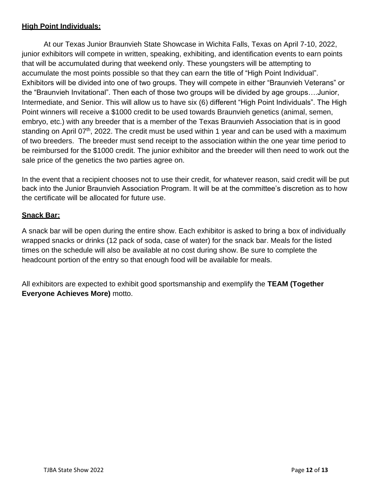#### **High Point Individuals:**

At our Texas Junior Braunvieh State Showcase in Wichita Falls, Texas on April 7-10, 2022, junior exhibitors will compete in written, speaking, exhibiting, and identification events to earn points that will be accumulated during that weekend only. These youngsters will be attempting to accumulate the most points possible so that they can earn the title of "High Point Individual". Exhibitors will be divided into one of two groups. They will compete in either "Braunvieh Veterans" or the "Braunvieh Invitational". Then each of those two groups will be divided by age groups….Junior, Intermediate, and Senior. This will allow us to have six (6) different "High Point Individuals". The High Point winners will receive a \$1000 credit to be used towards Braunvieh genetics (animal, semen, embryo, etc.) with any breeder that is a member of the Texas Braunvieh Association that is in good standing on April  $07<sup>th</sup>$ , 2022. The credit must be used within 1 year and can be used with a maximum of two breeders. The breeder must send receipt to the association within the one year time period to be reimbursed for the \$1000 credit. The junior exhibitor and the breeder will then need to work out the sale price of the genetics the two parties agree on.

In the event that a recipient chooses not to use their credit, for whatever reason, said credit will be put back into the Junior Braunvieh Association Program. It will be at the committee's discretion as to how the certificate will be allocated for future use.

#### **Snack Bar:**

A snack bar will be open during the entire show. Each exhibitor is asked to bring a box of individually wrapped snacks or drinks (12 pack of soda, case of water) for the snack bar. Meals for the listed times on the schedule will also be available at no cost during show. Be sure to complete the headcount portion of the entry so that enough food will be available for meals.

All exhibitors are expected to exhibit good sportsmanship and exemplify the **TEAM (Together Everyone Achieves More)** motto.